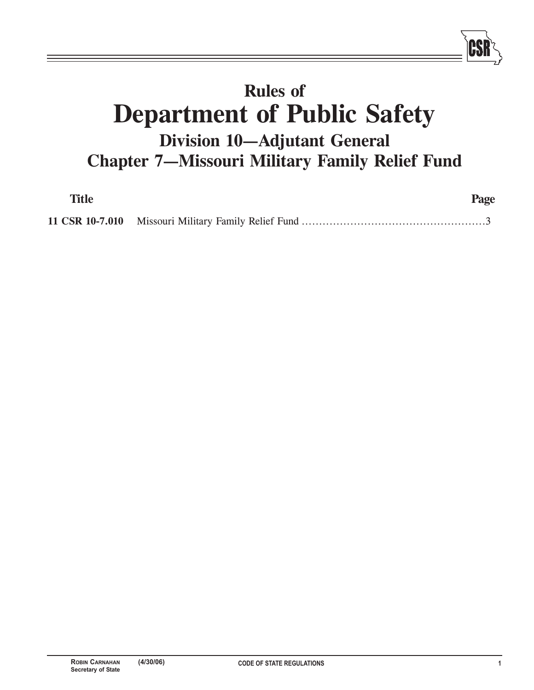# **Rules of Department of Public Safety Division 10-Adjutant General Chapter 7-Missouri Military Family Relief Fund**

| <b>Title</b> | Page |
|--------------|------|
|              |      |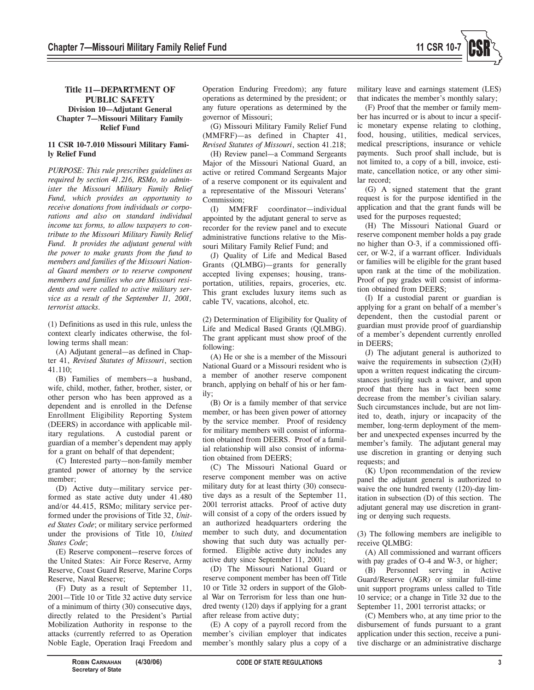

## **Title 11-DEPARTMENT OF PUBLIC SAFETY**

**Division 10–Adjutant General Chapter 7-Missouri Military Family Relief Fund**

### **11 CSR 10-7.010 Missouri Military Family Relief Fund**

*PURPOSE: This rule prescribes guidelines as required by section 41.216, RSMo, to administer the Missouri Military Family Relief Fund, which provides an opportunity to receive donations from individuals or corporations and also on standard individual income tax forms, to allow taxpayers to contribute to the Missouri Military Family Relief Fund. It provides the adjutant general with the power to make grants from the fund to members and families of the Missouri National Guard members or to reserve component members and families who are Missouri residents and were called to active military service as a result of the September 11, 2001, terrorist attacks.*

(1) Definitions as used in this rule, unless the context clearly indicates otherwise, the following terms shall mean:

(A) Adjutant general—as defined in Chapter 41, *Revised Statutes of Missouri*, section 41.110;

(B) Families of members-a husband, wife, child, mother, father, brother, sister, or other person who has been approved as a dependent and is enrolled in the Defense Enrollment Eligibility Reporting System (DEERS) in accordance with applicable military regulations. A custodial parent or guardian of a member's dependent may apply for a grant on behalf of that dependent;

(C) Interested party-non-family member granted power of attorney by the service member;

(D) Active duty-military service performed as state active duty under 41.480 and/or 44.415, RSMo; military service performed under the provisions of Title 32, *United States Code*; or military service performed under the provisions of Title 10, *United States Code*;

(E) Reserve component—reserve forces of the United States: Air Force Reserve, Army Reserve, Coast Guard Reserve, Marine Corps Reserve, Naval Reserve;

(F) Duty as a result of September 11, 2001–Title 10 or Title 32 active duty service of a minimum of thirty (30) consecutive days, directly related to the President's Partial Mobilization Authority in response to the attacks (currently referred to as Operation Noble Eagle, Operation Iraqi Freedom and

Operation Enduring Freedom); any future operations as determined by the president; or any future operations as determined by the governor of Missouri;

(G) Missouri Military Family Relief Fund  $(MMFRF)$ —as defined in Chapter 41, *Revised Statutes of Missouri*, section 41.218;

(H) Review panel—a Command Sergeants Major of the Missouri National Guard, an active or retired Command Sergeants Major of a reserve component or its equivalent and a representative of the Missouri Veterans' Commission:

(I) MMFRF coordinator-individual appointed by the adjutant general to serve as recorder for the review panel and to execute administrative functions relative to the Missouri Military Family Relief Fund; and

(J) Quality of Life and Medical Based Grants (OLMBG)-grants for generally accepted living expenses; housing, transportation, utilities, repairs, groceries, etc. This grant excludes luxury items such as cable TV, vacations, alcohol, etc.

(2) Determination of Eligibility for Quality of Life and Medical Based Grants (QLMBG). The grant applicant must show proof of the following:

(A) He or she is a member of the Missouri National Guard or a Missouri resident who is a member of another reserve component branch, applying on behalf of his or her family;

(B) Or is a family member of that service member, or has been given power of attorney by the service member. Proof of residency for military members will consist of information obtained from DEERS. Proof of a familial relationship will also consist of information obtained from DEERS;

(C) The Missouri National Guard or reserve component member was on active military duty for at least thirty (30) consecutive days as a result of the September 11, 2001 terrorist attacks. Proof of active duty will consist of a copy of the orders issued by an authorized headquarters ordering the member to such duty, and documentation showing that such duty was actually performed. Eligible active duty includes any active duty since September 11, 2001;

(D) The Missouri National Guard or reserve component member has been off Title 10 or Title 32 orders in support of the Global War on Terrorism for less than one hundred twenty (120) days if applying for a grant after release from active duty;

(E) A copy of a payroll record from the member's civilian employer that indicates member's monthly salary plus a copy of a military leave and earnings statement (LES) that indicates the member's monthly salary;

(F) Proof that the member or family member has incurred or is about to incur a specific monetary expense relating to clothing, food, housing, utilities, medical services, medical prescriptions, insurance or vehicle payments. Such proof shall include, but is not limited to, a copy of a bill, invoice, estimate, cancellation notice, or any other similar record;

(G) A signed statement that the grant request is for the purpose identified in the application and that the grant funds will be used for the purposes requested;

(H) The Missouri National Guard or reserve component member holds a pay grade no higher than O-3, if a commissioned officer, or W-2, if a warrant officer. Individuals or families will be eligible for the grant based upon rank at the time of the mobilization. Proof of pay grades will consist of information obtained from DEERS;

(I) If a custodial parent or guardian is applying for a grant on behalf of a member's dependent, then the custodial parent or guardian must provide proof of guardianship of a member's dependent currently enrolled in DEERS;

(J) The adjutant general is authorized to waive the requirements in subsection  $(2)(H)$ upon a written request indicating the circumstances justifying such a waiver, and upon proof that there has in fact been some decrease from the member's civilian salary. Such circumstances include, but are not limited to, death, injury or incapacity of the member, long-term deployment of the member and unexpected expenses incurred by the member's family. The adjutant general may use discretion in granting or denying such requests; and

(K) Upon recommendation of the review panel the adjutant general is authorized to waive the one hundred twenty (120)-day limitation in subsection (D) of this section. The adjutant general may use discretion in granting or denying such requests.

(3) The following members are ineligible to receive QLMBG:

(A) All commissioned and warrant officers with pay grades of O-4 and W-3, or higher;

(B) Personnel serving in Active Guard/Reserve (AGR) or similar full-time unit support programs unless called to Title 10 service; or a change in Title 32 due to the September 11, 2001 terrorist attacks; or

(C) Members who, at any time prior to the disbursement of funds pursuant to a grant application under this section, receive a punitive discharge or an administrative discharge